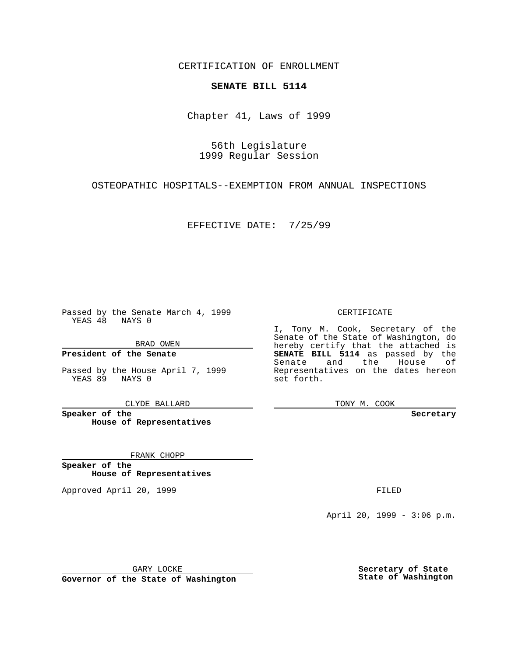CERTIFICATION OF ENROLLMENT

## **SENATE BILL 5114**

Chapter 41, Laws of 1999

56th Legislature 1999 Regular Session

OSTEOPATHIC HOSPITALS--EXEMPTION FROM ANNUAL INSPECTIONS

EFFECTIVE DATE: 7/25/99

Passed by the Senate March 4, 1999 YEAS 48 NAYS 0

BRAD OWEN

**President of the Senate**

Passed by the House April 7, 1999 YEAS 89 NAYS 0

CLYDE BALLARD

**Speaker of the House of Representatives**

FRANK CHOPP

**Speaker of the House of Representatives**

Approved April 20, 1999 **FILED** 

## CERTIFICATE

I, Tony M. Cook, Secretary of the Senate of the State of Washington, do hereby certify that the attached is **SENATE BILL 5114** as passed by the Senate and the House of Representatives on the dates hereon set forth.

TONY M. COOK

**Secretary**

April 20, 1999 - 3:06 p.m.

GARY LOCKE

**Governor of the State of Washington**

**Secretary of State State of Washington**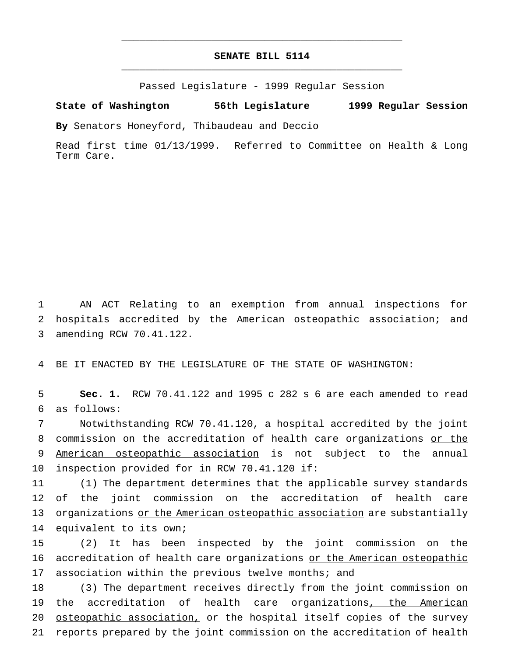## **SENATE BILL 5114** \_\_\_\_\_\_\_\_\_\_\_\_\_\_\_\_\_\_\_\_\_\_\_\_\_\_\_\_\_\_\_\_\_\_\_\_\_\_\_\_\_\_\_\_\_\_\_

\_\_\_\_\_\_\_\_\_\_\_\_\_\_\_\_\_\_\_\_\_\_\_\_\_\_\_\_\_\_\_\_\_\_\_\_\_\_\_\_\_\_\_\_\_\_\_

Passed Legislature - 1999 Regular Session

**State of Washington 56th Legislature 1999 Regular Session**

**By** Senators Honeyford, Thibaudeau and Deccio

Read first time 01/13/1999. Referred to Committee on Health & Long Term Care.

1 AN ACT Relating to an exemption from annual inspections for 2 hospitals accredited by the American osteopathic association; and 3 amending RCW 70.41.122.

4 BE IT ENACTED BY THE LEGISLATURE OF THE STATE OF WASHINGTON:

5 **Sec. 1.** RCW 70.41.122 and 1995 c 282 s 6 are each amended to read 6 as follows:

 Notwithstanding RCW 70.41.120, a hospital accredited by the joint 8 commission on the accreditation of health care organizations or the American osteopathic association is not subject to the annual inspection provided for in RCW 70.41.120 if:

11 (1) The department determines that the applicable survey standards 12 of the joint commission on the accreditation of health care 13 organizations or the American osteopathic association are substantially 14 equivalent to its own;

15 (2) It has been inspected by the joint commission on the 16 accreditation of health care organizations or the American osteopathic 17 association within the previous twelve months; and

 (3) The department receives directly from the joint commission on the accreditation of health care organizations, the American osteopathic association, or the hospital itself copies of the survey reports prepared by the joint commission on the accreditation of health